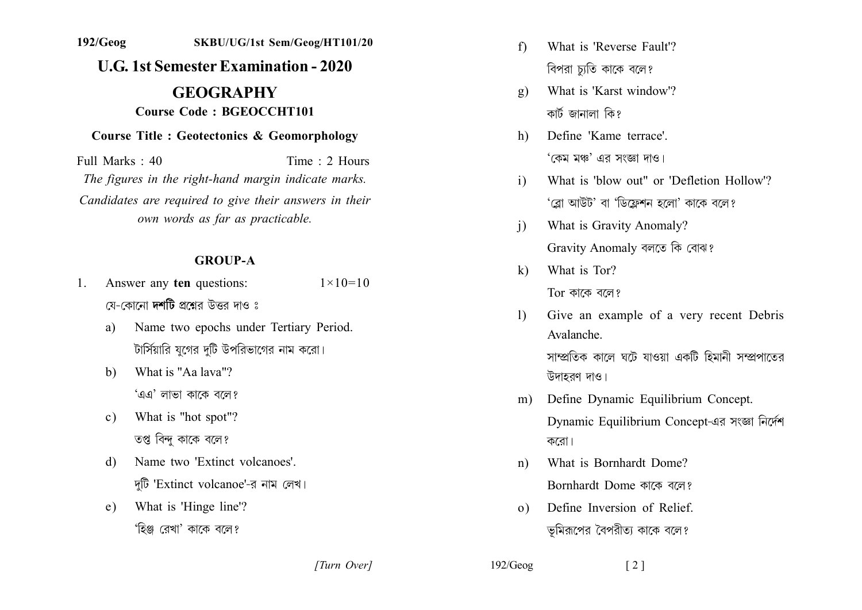# **gggggggg 0000g0ggg000 0g0gggggg00g0ggg0 U.G. 1st Semester Examination - 2020 GEOGRAPHY 1g100googleright Course Code: BGEOCCHT101 1910** Course Title : Geotectonics & Geomorphology

 $Full Marks: 40$  Time  $\cdot$  2 Hours *The figures in the right-hand margin indicate marks.* Candidates are required to give their answers in their *own words as far as practicable.* 

#### **GROUP-A**

- 1. Answer any **ten** questions:  $1 \times 10 = 10$ যে-কোনো **দশটি** প্ৰশ্নেব উত্তব দাও ঃ
	- a) Name two epochs under Tertiary Period. টার্সিয়ারি যগের দটি উপরিভাগের নাম করো।
	- b) What is "Aa laya"? 'এএ' লাভা কাকে বলে?
	- c) What is "hot spot"? তপ্ত বিন্দ কাকে বলে?
	- d) Name two 'Extinct volcanoes' দুটি 'Extinct volcanoe'-র নাম লেখ।
	- e) What is 'Hinge line'? 'হিঞ্জ রেখা' কাকে বলে?
- f) What is 'Reverse Fault'? বিপরা চ্যুতি কাকে বলে?
- g) What is 'Karst window'? কাৰ্ট জানালা কি?
- h) Define 'Kame terrace'. 'কেম মঞ্চ' এর সংজ্ঞা দাও।
- i) What is 'blow out" or 'Defletion Hollow'? 'ব্লো আউট' বা 'ডিফ্লেশন হলো' কাকে বলে?
- i) What is Gravity Anomaly? Gravity Anomaly বলতে কি বোঝ?
- $k$ ) What is Tor?  $Tor$  কাকে বলে?
- 1) Give an example of a very recent Debris Avalanche

সাম্প্রতিক কালে ঘটে যাওয়া একটি হিমানী সম্প্রপাতের উদাহরণ দাও।

- m) Define Dynamic Equilibrium Concept. Dynamic Equilibrium Concept-এর সংজ্ঞা নির্দেশ করো।
- n) What is Bornhardt Dome? Bornhardt Dome কাকে বলে?
- $\Omega$ ). Define Inversion of Relief. ভূমিরূপের বৈপরীত্য কাকে বলে?

*[a] [2] [2] [2] [3] [3] [3] [3] [3] [3] [3] [3] [3] [3] [3] [3] [3] [3] [3] [3] [3] [3] [3] [3] [3] [3] [3] [3] [3] [3] [3] [3] [3] [3] [3] [3] [3]*